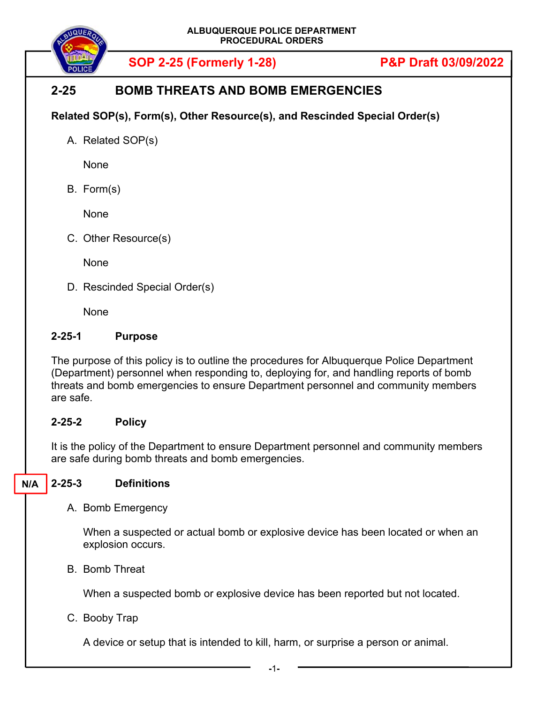

# **2-25 BOMB THREATS AND BOMB EMERGENCIES**

# **Related SOP(s), Form(s), Other Resource(s), and Rescinded Special Order(s)**

A. Related SOP(s)

None

B. Form(s)

None

C. Other Resource(s)

None

D. Rescinded Special Order(s)

None

### **2-25-1 Purpose**

The purpose of this policy is to outline the procedures for Albuquerque Police Department (Department) personnel when responding to, deploying for, and handling reports of bomb threats and bomb emergencies to ensure Department personnel and community members are safe.

### **2-25-2 Policy**

It is the policy of the Department to ensure Department personnel and community members are safe during bomb threats and bomb emergencies.

#### **2-25-3 Definitions N/A**

A. Bomb Emergency

When a suspected or actual bomb or explosive device has been located or when an explosion occurs.

B. Bomb Threat

When a suspected bomb or explosive device has been reported but not located.

C. Booby Trap

A device or setup that is intended to kill, harm, or surprise a person or animal.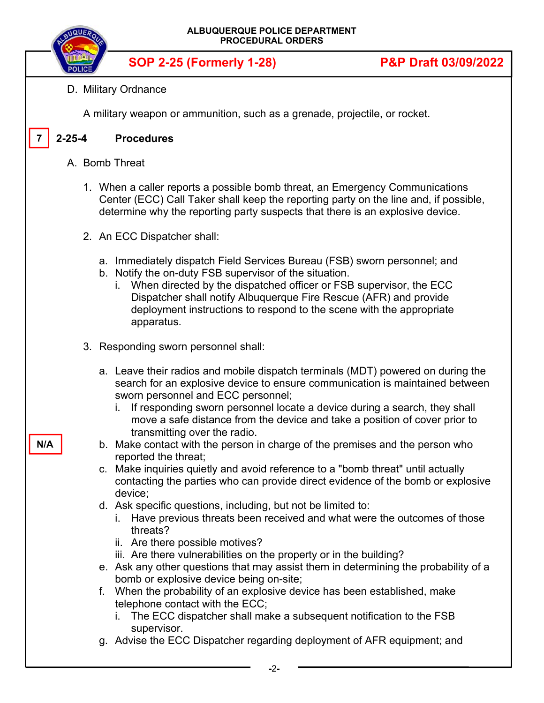| ALBUQUERQUE POLICE DEPARTMENT<br><b>NQUEA</b><br><b>PROCEDURAL ORDERS</b> |  |                                                                                                                                                                                                                                                                                                                                                                                                                                                                                                                                                                                                                                                                                                                                                                                                                                                                                                                                                                                                                                                        |                                 |  |  |
|---------------------------------------------------------------------------|--|--------------------------------------------------------------------------------------------------------------------------------------------------------------------------------------------------------------------------------------------------------------------------------------------------------------------------------------------------------------------------------------------------------------------------------------------------------------------------------------------------------------------------------------------------------------------------------------------------------------------------------------------------------------------------------------------------------------------------------------------------------------------------------------------------------------------------------------------------------------------------------------------------------------------------------------------------------------------------------------------------------------------------------------------------------|---------------------------------|--|--|
|                                                                           |  | <b>SOP 2-25 (Formerly 1-28)</b>                                                                                                                                                                                                                                                                                                                                                                                                                                                                                                                                                                                                                                                                                                                                                                                                                                                                                                                                                                                                                        | <b>P&amp;P Draft 03/09/2022</b> |  |  |
|                                                                           |  | D. Military Ordnance                                                                                                                                                                                                                                                                                                                                                                                                                                                                                                                                                                                                                                                                                                                                                                                                                                                                                                                                                                                                                                   |                                 |  |  |
|                                                                           |  | A military weapon or ammunition, such as a grenade, projectile, or rocket.                                                                                                                                                                                                                                                                                                                                                                                                                                                                                                                                                                                                                                                                                                                                                                                                                                                                                                                                                                             |                                 |  |  |
| $2 - 25 - 4$                                                              |  | <b>Procedures</b>                                                                                                                                                                                                                                                                                                                                                                                                                                                                                                                                                                                                                                                                                                                                                                                                                                                                                                                                                                                                                                      |                                 |  |  |
|                                                                           |  | A. Bomb Threat                                                                                                                                                                                                                                                                                                                                                                                                                                                                                                                                                                                                                                                                                                                                                                                                                                                                                                                                                                                                                                         |                                 |  |  |
|                                                                           |  | 1. When a caller reports a possible bomb threat, an Emergency Communications<br>Center (ECC) Call Taker shall keep the reporting party on the line and, if possible,<br>determine why the reporting party suspects that there is an explosive device.                                                                                                                                                                                                                                                                                                                                                                                                                                                                                                                                                                                                                                                                                                                                                                                                  |                                 |  |  |
|                                                                           |  | 2. An ECC Dispatcher shall:                                                                                                                                                                                                                                                                                                                                                                                                                                                                                                                                                                                                                                                                                                                                                                                                                                                                                                                                                                                                                            |                                 |  |  |
|                                                                           |  | a. Immediately dispatch Field Services Bureau (FSB) sworn personnel; and<br>b. Notify the on-duty FSB supervisor of the situation.<br>When directed by the dispatched officer or FSB supervisor, the ECC<br>i.<br>Dispatcher shall notify Albuquerque Fire Rescue (AFR) and provide<br>deployment instructions to respond to the scene with the appropriate<br>apparatus.                                                                                                                                                                                                                                                                                                                                                                                                                                                                                                                                                                                                                                                                              |                                 |  |  |
|                                                                           |  | 3. Responding sworn personnel shall:                                                                                                                                                                                                                                                                                                                                                                                                                                                                                                                                                                                                                                                                                                                                                                                                                                                                                                                                                                                                                   |                                 |  |  |
| N/A                                                                       |  | a. Leave their radios and mobile dispatch terminals (MDT) powered on during the<br>search for an explosive device to ensure communication is maintained between<br>sworn personnel and ECC personnel;<br>If responding sworn personnel locate a device during a search, they shall<br>L.<br>move a safe distance from the device and take a position of cover prior to<br>transmitting over the radio.<br>b. Make contact with the person in charge of the premises and the person who<br>reported the threat;<br>c. Make inquiries quietly and avoid reference to a "bomb threat" until actually<br>contacting the parties who can provide direct evidence of the bomb or explosive<br>device;<br>d. Ask specific questions, including, but not be limited to:<br>Have previous threats been received and what were the outcomes of those<br>threats?<br>ii. Are there possible motives?<br>iii. Are there vulnerabilities on the property or in the building?<br>e. Ask any other questions that may assist them in determining the probability of a |                                 |  |  |
|                                                                           |  | bomb or explosive device being on-site;<br>f. When the probability of an explosive device has been established, make                                                                                                                                                                                                                                                                                                                                                                                                                                                                                                                                                                                                                                                                                                                                                                                                                                                                                                                                   |                                 |  |  |
|                                                                           |  | telephone contact with the ECC;<br>i. The ECC dispatcher shall make a subsequent notification to the FSB<br>supervisor.                                                                                                                                                                                                                                                                                                                                                                                                                                                                                                                                                                                                                                                                                                                                                                                                                                                                                                                                |                                 |  |  |
|                                                                           |  | g. Advise the ECC Dispatcher regarding deployment of AFR equipment; and                                                                                                                                                                                                                                                                                                                                                                                                                                                                                                                                                                                                                                                                                                                                                                                                                                                                                                                                                                                |                                 |  |  |
|                                                                           |  | -2-                                                                                                                                                                                                                                                                                                                                                                                                                                                                                                                                                                                                                                                                                                                                                                                                                                                                                                                                                                                                                                                    |                                 |  |  |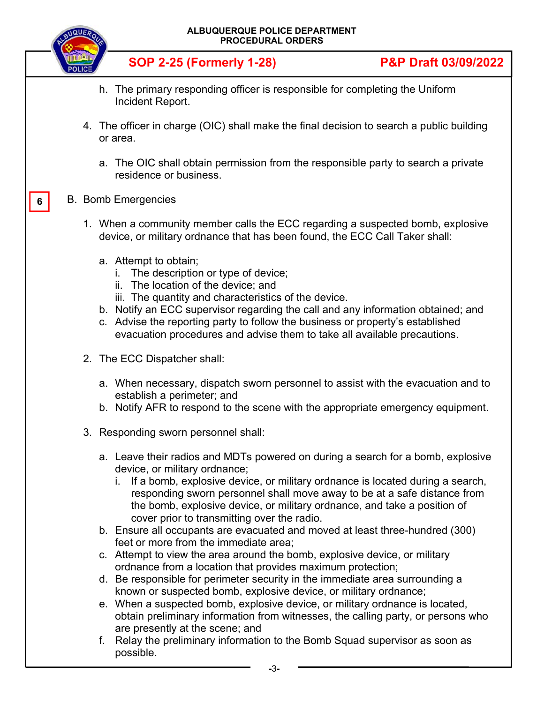|   |  | ALBUQUERQUE POLICE DEPARTMENT<br><b>PROCEDURAL ORDERS</b>                                                                                                                                                                                                                                                                                                                                                                                                                                                                                                                                                                                                                                                                                                                                                                                                                                                                                                                                                                                                                                                                                |                                 |  |
|---|--|------------------------------------------------------------------------------------------------------------------------------------------------------------------------------------------------------------------------------------------------------------------------------------------------------------------------------------------------------------------------------------------------------------------------------------------------------------------------------------------------------------------------------------------------------------------------------------------------------------------------------------------------------------------------------------------------------------------------------------------------------------------------------------------------------------------------------------------------------------------------------------------------------------------------------------------------------------------------------------------------------------------------------------------------------------------------------------------------------------------------------------------|---------------------------------|--|
|   |  | <b>SOP 2-25 (Formerly 1-28)</b>                                                                                                                                                                                                                                                                                                                                                                                                                                                                                                                                                                                                                                                                                                                                                                                                                                                                                                                                                                                                                                                                                                          | <b>P&amp;P Draft 03/09/2022</b> |  |
|   |  | h. The primary responding officer is responsible for completing the Uniform<br>Incident Report.                                                                                                                                                                                                                                                                                                                                                                                                                                                                                                                                                                                                                                                                                                                                                                                                                                                                                                                                                                                                                                          |                                 |  |
|   |  | 4. The officer in charge (OIC) shall make the final decision to search a public building<br>or area.                                                                                                                                                                                                                                                                                                                                                                                                                                                                                                                                                                                                                                                                                                                                                                                                                                                                                                                                                                                                                                     |                                 |  |
|   |  | a. The OIC shall obtain permission from the responsible party to search a private<br>residence or business.                                                                                                                                                                                                                                                                                                                                                                                                                                                                                                                                                                                                                                                                                                                                                                                                                                                                                                                                                                                                                              |                                 |  |
| 6 |  | <b>B.</b> Bomb Emergencies                                                                                                                                                                                                                                                                                                                                                                                                                                                                                                                                                                                                                                                                                                                                                                                                                                                                                                                                                                                                                                                                                                               |                                 |  |
|   |  | 1. When a community member calls the ECC regarding a suspected bomb, explosive<br>device, or military ordnance that has been found, the ECC Call Taker shall:                                                                                                                                                                                                                                                                                                                                                                                                                                                                                                                                                                                                                                                                                                                                                                                                                                                                                                                                                                            |                                 |  |
|   |  | a. Attempt to obtain;<br>The description or type of device;<br>i.<br>ii. The location of the device; and<br>iii. The quantity and characteristics of the device.<br>b. Notify an ECC supervisor regarding the call and any information obtained; and<br>c. Advise the reporting party to follow the business or property's established<br>evacuation procedures and advise them to take all available precautions.                                                                                                                                                                                                                                                                                                                                                                                                                                                                                                                                                                                                                                                                                                                       |                                 |  |
|   |  | 2. The ECC Dispatcher shall:                                                                                                                                                                                                                                                                                                                                                                                                                                                                                                                                                                                                                                                                                                                                                                                                                                                                                                                                                                                                                                                                                                             |                                 |  |
|   |  | a. When necessary, dispatch sworn personnel to assist with the evacuation and to<br>establish a perimeter; and<br>b. Notify AFR to respond to the scene with the appropriate emergency equipment.                                                                                                                                                                                                                                                                                                                                                                                                                                                                                                                                                                                                                                                                                                                                                                                                                                                                                                                                        |                                 |  |
|   |  | 3. Responding sworn personnel shall:                                                                                                                                                                                                                                                                                                                                                                                                                                                                                                                                                                                                                                                                                                                                                                                                                                                                                                                                                                                                                                                                                                     |                                 |  |
|   |  | a. Leave their radios and MDTs powered on during a search for a bomb, explosive<br>device, or military ordnance;<br>i. If a bomb, explosive device, or military ordnance is located during a search,<br>responding sworn personnel shall move away to be at a safe distance from<br>the bomb, explosive device, or military ordnance, and take a position of<br>cover prior to transmitting over the radio.<br>b. Ensure all occupants are evacuated and moved at least three-hundred (300)<br>feet or more from the immediate area;<br>c. Attempt to view the area around the bomb, explosive device, or military<br>ordnance from a location that provides maximum protection;<br>d. Be responsible for perimeter security in the immediate area surrounding a<br>known or suspected bomb, explosive device, or military ordnance;<br>e. When a suspected bomb, explosive device, or military ordnance is located,<br>obtain preliminary information from witnesses, the calling party, or persons who<br>are presently at the scene; and<br>f. Relay the preliminary information to the Bomb Squad supervisor as soon as<br>possible. |                                 |  |
|   |  | -3-                                                                                                                                                                                                                                                                                                                                                                                                                                                                                                                                                                                                                                                                                                                                                                                                                                                                                                                                                                                                                                                                                                                                      |                                 |  |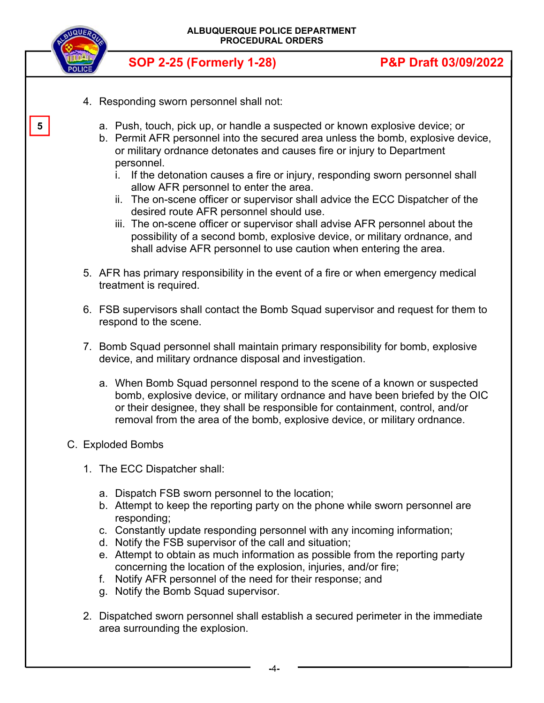

**5** 

**SOP 2-25 (Formerly 1-28) P&P Draft 03/09/2022** 

- 4. Responding sworn personnel shall not:
	- a. Push, touch, pick up, or handle a suspected or known explosive device; or
	- b. Permit AFR personnel into the secured area unless the bomb, explosive device, or military ordnance detonates and causes fire or injury to Department personnel.
		- i. If the detonation causes a fire or injury, responding sworn personnel shall allow AFR personnel to enter the area.
		- ii. The on-scene officer or supervisor shall advice the ECC Dispatcher of the desired route AFR personnel should use.
		- iii. The on-scene officer or supervisor shall advise AFR personnel about the possibility of a second bomb, explosive device, or military ordnance, and shall advise AFR personnel to use caution when entering the area.
- 5. AFR has primary responsibility in the event of a fire or when emergency medical treatment is required.
- 6. FSB supervisors shall contact the Bomb Squad supervisor and request for them to respond to the scene.
- 7. Bomb Squad personnel shall maintain primary responsibility for bomb, explosive device, and military ordnance disposal and investigation.
	- a. When Bomb Squad personnel respond to the scene of a known or suspected bomb, explosive device, or military ordnance and have been briefed by the OIC or their designee, they shall be responsible for containment, control, and/or removal from the area of the bomb, explosive device, or military ordnance.
- C. Exploded Bombs
	- 1. The ECC Dispatcher shall:
		- a. Dispatch FSB sworn personnel to the location;
		- b. Attempt to keep the reporting party on the phone while sworn personnel are responding;
		- c. Constantly update responding personnel with any incoming information;
		- d. Notify the FSB supervisor of the call and situation;
		- e. Attempt to obtain as much information as possible from the reporting party concerning the location of the explosion, injuries, and/or fire;
		- f. Notify AFR personnel of the need for their response; and
		- g. Notify the Bomb Squad supervisor.
	- 2. Dispatched sworn personnel shall establish a secured perimeter in the immediate area surrounding the explosion.

 **-**4**-**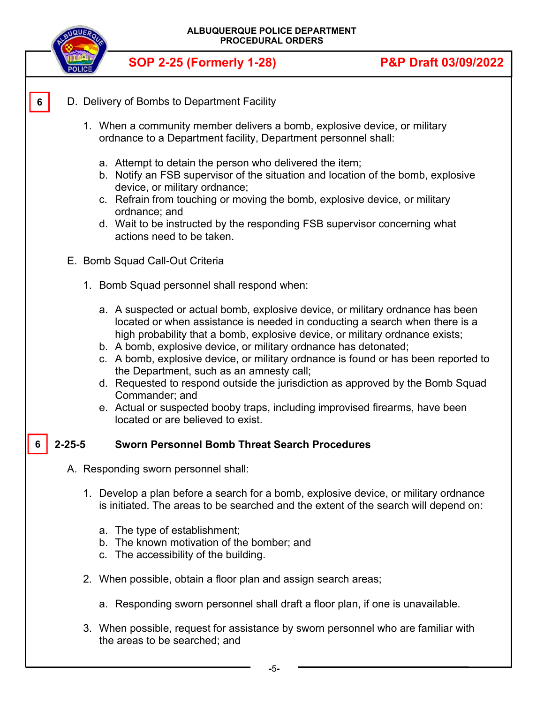

- D. Delivery of Bombs to Department Facility **6** 
	- 1. When a community member delivers a bomb, explosive device, or military ordnance to a Department facility, Department personnel shall:
		- a. Attempt to detain the person who delivered the item;
		- b. Notify an FSB supervisor of the situation and location of the bomb, explosive device, or military ordnance;
		- c. Refrain from touching or moving the bomb, explosive device, or military ordnance; and
		- d. Wait to be instructed by the responding FSB supervisor concerning what actions need to be taken.
	- E. Bomb Squad Call-Out Criteria
		- 1. Bomb Squad personnel shall respond when:
			- a. A suspected or actual bomb, explosive device, or military ordnance has been located or when assistance is needed in conducting a search when there is a high probability that a bomb, explosive device, or military ordnance exists;
			- b. A bomb, explosive device, or military ordnance has detonated;
			- c. A bomb, explosive device, or military ordnance is found or has been reported to the Department, such as an amnesty call;
			- d. Requested to respond outside the jurisdiction as approved by the Bomb Squad Commander; and
			- e. Actual or suspected booby traps, including improvised firearms, have been located or are believed to exist.

#### **2-25-5 Sworn Personnel Bomb Threat Search Procedures 6**

- A. Responding sworn personnel shall:
	- 1. Develop a plan before a search for a bomb, explosive device, or military ordnance is initiated. The areas to be searched and the extent of the search will depend on:
		- a. The type of establishment;
		- b. The known motivation of the bomber; and
		- c. The accessibility of the building.
	- 2. When possible, obtain a floor plan and assign search areas;
		- a. Responding sworn personnel shall draft a floor plan, if one is unavailable.
	- 3. When possible, request for assistance by sworn personnel who are familiar with the areas to be searched; and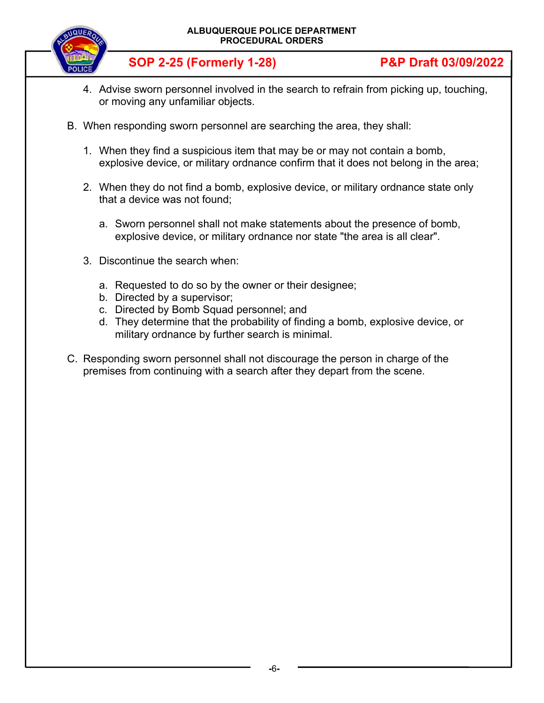

- 4. Advise sworn personnel involved in the search to refrain from picking up, touching, or moving any unfamiliar objects.
- B. When responding sworn personnel are searching the area, they shall:
	- 1. When they find a suspicious item that may be or may not contain a bomb, explosive device, or military ordnance confirm that it does not belong in the area;
	- 2. When they do not find a bomb, explosive device, or military ordnance state only that a device was not found;
		- a. Sworn personnel shall not make statements about the presence of bomb, explosive device, or military ordnance nor state "the area is all clear".
	- 3. Discontinue the search when:
		- a. Requested to do so by the owner or their designee;
		- b. Directed by a supervisor;
		- c. Directed by Bomb Squad personnel; and
		- d. They determine that the probability of finding a bomb, explosive device, or military ordnance by further search is minimal.
- C. Responding sworn personnel shall not discourage the person in charge of the premises from continuing with a search after they depart from the scene.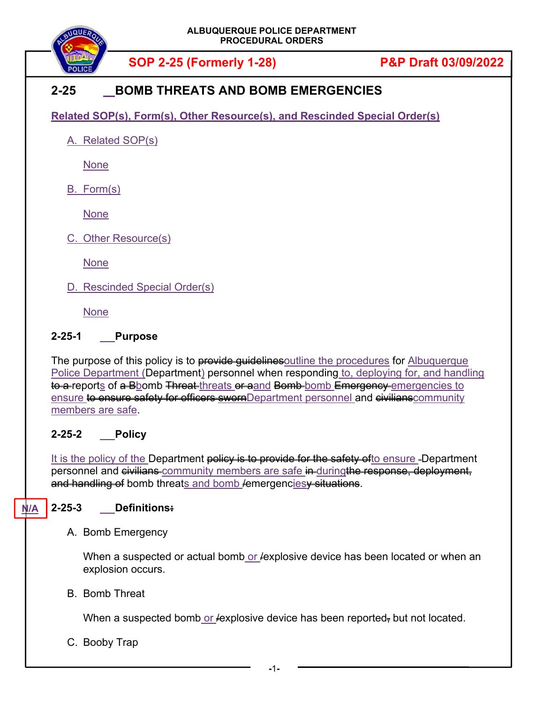

# **2-25 BOMB THREATS AND BOMB EMERGENCIES**

**Related SOP(s), Form(s), Other Resource(s), and Rescinded Special Order(s)** 

A. Related SOP(s)

**None** 

B. Form(s)

None

C. Other Resource(s)

None

D. Rescinded Special Order(s)

None

## **2-25-1 Purpose**

The purpose of this policy is to provide guidelines outline the procedures for Albuquerque Police Department (Department) personnel when responding to, deploying for, and handling to a reports of a Bbomb Threat threats or aand Bomb bomb Emergency emergencies to ensure to ensure safety for officers swornDepartment personnel and civilians community members are safe.

# **2-25-2 Policy**

It is the policy of the Department policy is to provide for the safety of to ensure -Department personnel and civilians community members are safe in duringthe response, deployment, and handling of bomb threats and bomb lemergencies<del>y situations</del>.

### **2-25-3 Definitions: N/A**

A. Bomb Emergency

When a suspected or actual bomb or  $f$ explosive device has been located or when an explosion occurs.

# B. Bomb Threat

When a suspected bomb or  $/$ explosive device has been reported, but not located.

C. Booby Trap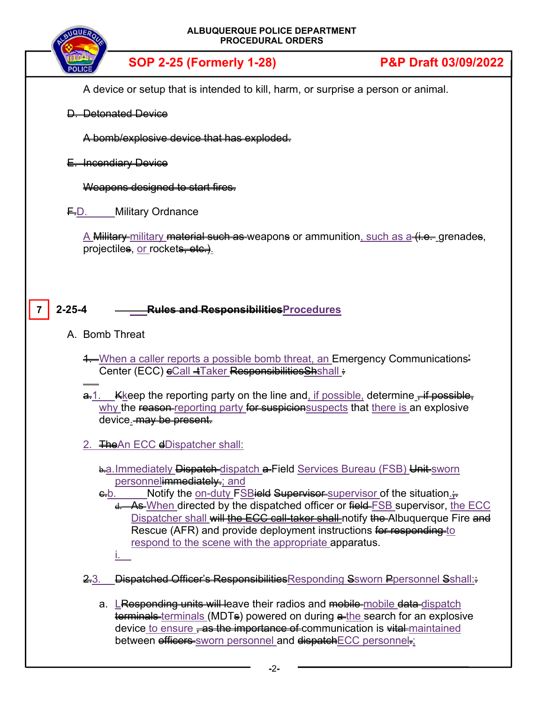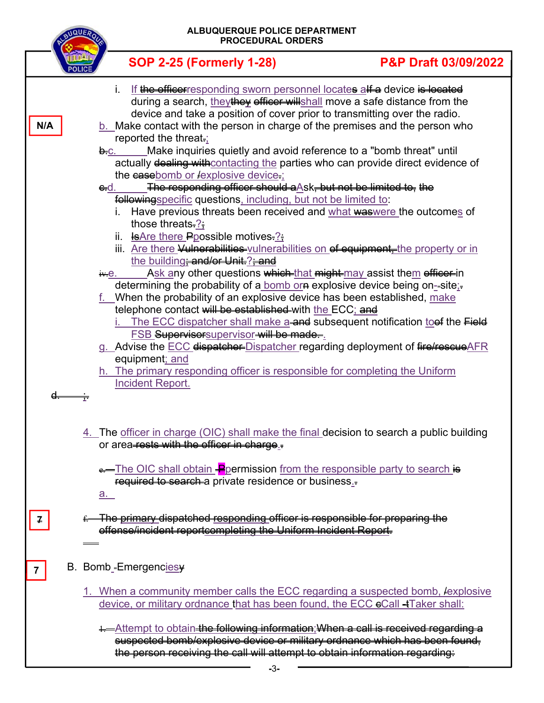| ALBUQUERQUE POLICE DEPARTMENT<br><b>IQUER</b><br><b>PROCEDURAL ORDERS</b> |                                                                                                                                                                                                                                                                                                                                                                                                                                                                                                                                                                                                                                      |                                 |  |  |
|---------------------------------------------------------------------------|--------------------------------------------------------------------------------------------------------------------------------------------------------------------------------------------------------------------------------------------------------------------------------------------------------------------------------------------------------------------------------------------------------------------------------------------------------------------------------------------------------------------------------------------------------------------------------------------------------------------------------------|---------------------------------|--|--|
|                                                                           | <b>SOP 2-25 (Formerly 1-28)</b>                                                                                                                                                                                                                                                                                                                                                                                                                                                                                                                                                                                                      | <b>P&amp;P Draft 03/09/2022</b> |  |  |
| N/A                                                                       | If the office responding sworn personnel locates alf a device is located<br>i.<br>during a search, they they efficer willshall move a safe distance from the<br>device and take a position of cover prior to transmitting over the radio.<br>b. Make contact with the person in charge of the premises and the person who<br>reported the threat.<br>Make inquiries quietly and avoid reference to a "bomb threat" until<br>b.c.<br>actually dealing withcontacting the parties who can provide direct evidence of<br>the easebomb or lexplosive device-;<br>The responding officer should a Ask, but not be limited to, the<br>e-d. |                                 |  |  |
|                                                                           | followingspecific questions, including, but not be limited to:<br>Have previous threats been received and what was were the outcomes of<br>those threats. $?$<br><b>E</b> Are there Ppossible motives. <sup>2</sup> ;<br>ii.<br>iii. Are there Vulnerabilities-vulnerabilities on ef equipment-the property or in                                                                                                                                                                                                                                                                                                                    |                                 |  |  |
|                                                                           | the building <del>: and/or Unit. ?; and</del><br>Ask any other questions <del>which that might may</del> assist them efficer in<br>iv.e.<br>determining the probability of a bomb or a explosive device being on-site;-<br>f. When the probability of an explosive device has been established, make<br>telephone contact will be established with the ECC; and<br>The ECC dispatcher shall make a and subsequent notification to ef the Field                                                                                                                                                                                       |                                 |  |  |
|                                                                           | <b>FSB</b> Supervisorsupervisor will be made.<br>g. Advise the <b>ECC</b> dispatcher Dispatcher regarding deployment of fire/rescueAFR<br>equipment; and<br>h. The primary responding officer is responsible for completing the Uniform<br>Incident Report.                                                                                                                                                                                                                                                                                                                                                                          |                                 |  |  |
|                                                                           | 4. The officer in charge (OIC) shall make the final decision to search a public building<br>or area-rests with the officer in charge.                                                                                                                                                                                                                                                                                                                                                                                                                                                                                                |                                 |  |  |
|                                                                           | e—The OIC shall obtain Pepermission from the responsible party to search is<br>required to search a private residence or business.<br>$a_{-}$                                                                                                                                                                                                                                                                                                                                                                                                                                                                                        |                                 |  |  |
| $\overline{f}$                                                            | f-The primary dispatched responding officer is responsible for preparing the<br>effense/incident reportcompleting the Uniform Incident Report.                                                                                                                                                                                                                                                                                                                                                                                                                                                                                       |                                 |  |  |
| 7                                                                         | B. Bomb-Emergencies                                                                                                                                                                                                                                                                                                                                                                                                                                                                                                                                                                                                                  |                                 |  |  |
|                                                                           | <u>1. When a community member calls the ECC regarding a suspected bomb, lexplosive</u><br>device, or military ordnance that has been found, the ECC eCall +Taker shall:                                                                                                                                                                                                                                                                                                                                                                                                                                                              |                                 |  |  |
|                                                                           | 1—Attempt to obtain the following information; When a call is received regarding a<br>suspected bomb/explosive device or military ordnance which has been found,<br>the person receiving the call will attempt to obtain information regarding:                                                                                                                                                                                                                                                                                                                                                                                      |                                 |  |  |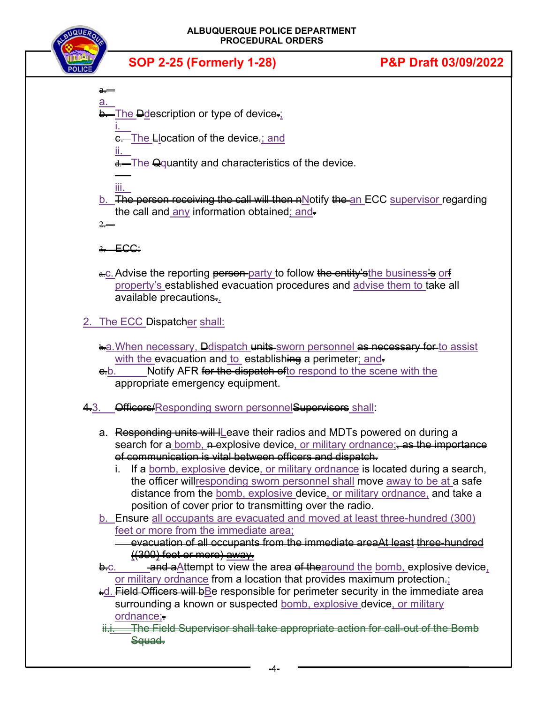

- a. **b**. The **D**description or type of device.
	- i. e. The Llocation of the device.; and
	- ii. d. The Qquantity and characteristics of the device.
	- iii.

a.

- b. The person receiving the call will then nNotify the an ECC supervisor regarding the call and any information obtained; and.  $2$
- 3. ECC:
- e.c. Advise the reporting person party to follow the entity's the business's orf property's established evacuation procedures and advise them to take all available precautions..

2. The ECC Dispatcher shall:

- b.a. When necessary, Delispatch units sworn personnel as necessary for to assist with the evacuation and to establishing a perimeter; and-
- eb. Notify AFR for the dispatch ofto respond to the scene with the appropriate emergency equipment.
- 4.3. Officers/Responding sworn personnel Supervisors shall:
	- a. Responding units will leave their radios and MDTs powered on during a search for a bomb, a explosive device, or military ordnance; as the importance of communication is vital between officers and dispatch.
		- i. If a bomb, explosive device, or military ordnance is located during a search, the officer will responding sworn personnel shall move away to be at a safe distance from the bomb, explosive device, or military ordnance, and take a position of cover prior to transmitting over the radio.
	- b. Ensure all occupants are evacuated and moved at least three-hundred (300) feet or more from the immediate area;
		- evacuation of all occupants from the immediate areaAt least three-hundred ((300) feet or more) away.
	- $\frac{1}{2}$ .  $\frac{1}{2}$  and a Attempt to view the area of the around the bomb, explosive device, or military ordnance from a location that provides maximum protection.
	- $\pm d$ . Field Officers will bBe responsible for perimeter security in the immediate area surrounding a known or suspected bomb, explosive device, or military ordnance;.
	- ii.i. The Field Supervisor shall take appropriate action for call-out of the Bomb Squad.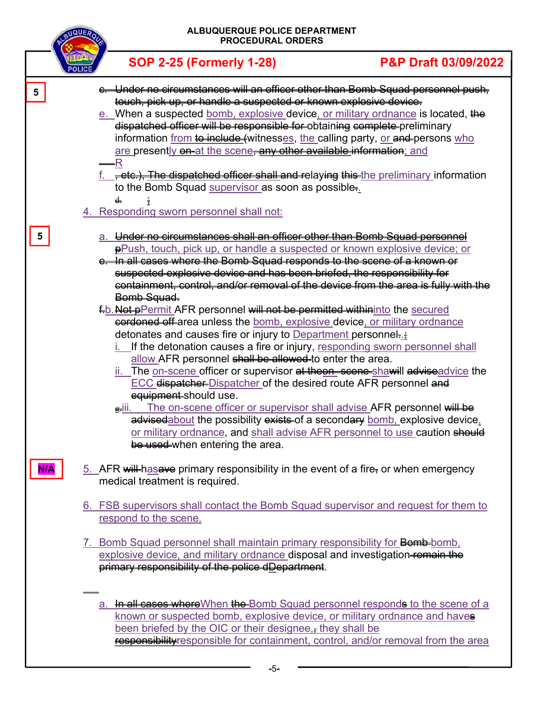|                 | <b>BUQUER</b> | ALBUQUERQUE POLICE DEPARTMENT<br><b>PROCEDURAL ORDERS</b>                                                                                                                                                                                                                                                                                                                                                                                                                                                                                                                                                                                                                                                                                                                                                                                                                                                                                                                                                                                                                                                                                                                                                                                                               |                      |  |  |
|-----------------|---------------|-------------------------------------------------------------------------------------------------------------------------------------------------------------------------------------------------------------------------------------------------------------------------------------------------------------------------------------------------------------------------------------------------------------------------------------------------------------------------------------------------------------------------------------------------------------------------------------------------------------------------------------------------------------------------------------------------------------------------------------------------------------------------------------------------------------------------------------------------------------------------------------------------------------------------------------------------------------------------------------------------------------------------------------------------------------------------------------------------------------------------------------------------------------------------------------------------------------------------------------------------------------------------|----------------------|--|--|
|                 |               | <b>SOP 2-25 (Formerly 1-28)</b>                                                                                                                                                                                                                                                                                                                                                                                                                                                                                                                                                                                                                                                                                                                                                                                                                                                                                                                                                                                                                                                                                                                                                                                                                                         | P&P Draft 03/09/2022 |  |  |
| $5\phantom{.0}$ |               | e. Under no circumstances will an officer other than Bomb Squad personnel push,<br>touch, pick up, or handle a suspected or known explosive device.<br>e. When a suspected bomb, explosive device, or military ordnance is located, the<br>dispatched officer will be responsible for obtaining complete preliminary<br>information from <del>to include (</del> witnesses, the calling party, <u>or and</u> persons who<br>are presently on at the scene, any other available information; and<br>—R<br>f. , etc.), The dispatched officer shall and relaying this the preliminary information<br>to the Bomb Squad supervisor as soon as possible.<br>d.<br>4. Responding sworn personnel shall not:                                                                                                                                                                                                                                                                                                                                                                                                                                                                                                                                                                  |                      |  |  |
| 5               |               | a. Under no circumstances shall an officer other than Bomb Squad personnel<br><b>P</b> ePush, touch, pick up, or handle a suspected or known explosive device; or<br>e. In all cases where the Bomb Squad responds to the scene of a known or<br>suspected explosive device and has been briefed, the responsibility for<br>containment, control, and/or removal of the device from the area is fully with the<br>Bomb Squad.<br>f-b. Not pPermit AFR personnel will not be permitted withininto the secured<br>eordoned off-area unless the bomb, explosive device, or military ordnance<br>detonates and causes fire or injury to Department personnel-<br>i. If the detonation causes a fire or injury, responding sworn personnel shall<br>allow AFR personnel shall be allowed to enter the area.<br>ii. The on-scene officer or supervisor at theon-scene-shawill adviseadvice the<br>ECC dispatcher-Dispatcher of the desired route AFR personnel and<br>equipment-should use.<br>The on-scene officer or supervisor shall advise AFR personnel will be<br>g.iii.<br>advisedabout the possibility exists of a secondary bomb, explosive device,<br>or military ordnance, and shall advise AFR personnel to use caution should<br>be used-when entering the area. |                      |  |  |
| N/A             |               | 5. AFR will has a ve primary responsibility in the event of a fire, or when emergency<br>medical treatment is required.<br>6. FSB supervisors shall contact the Bomb Squad supervisor and request for them to                                                                                                                                                                                                                                                                                                                                                                                                                                                                                                                                                                                                                                                                                                                                                                                                                                                                                                                                                                                                                                                           |                      |  |  |
|                 |               | respond to the scene.<br>7. Bomb Squad personnel shall maintain primary responsibility for Bomb-bomb.<br>explosive device, and military ordnance disposal and investigation-remain the<br>primary responsibility of the police dDepartment.                                                                                                                                                                                                                                                                                                                                                                                                                                                                                                                                                                                                                                                                                                                                                                                                                                                                                                                                                                                                                             |                      |  |  |
|                 |               | a. In all cases where When the Bomb Squad personnel responds to the scene of a<br>known or suspected bomb, explosive device, or military ordnance and haves<br>been briefed by the OIC or their designee, <sub></sub> they shall be<br>responsibility responsible for containment, control, and/or removal from the area                                                                                                                                                                                                                                                                                                                                                                                                                                                                                                                                                                                                                                                                                                                                                                                                                                                                                                                                                |                      |  |  |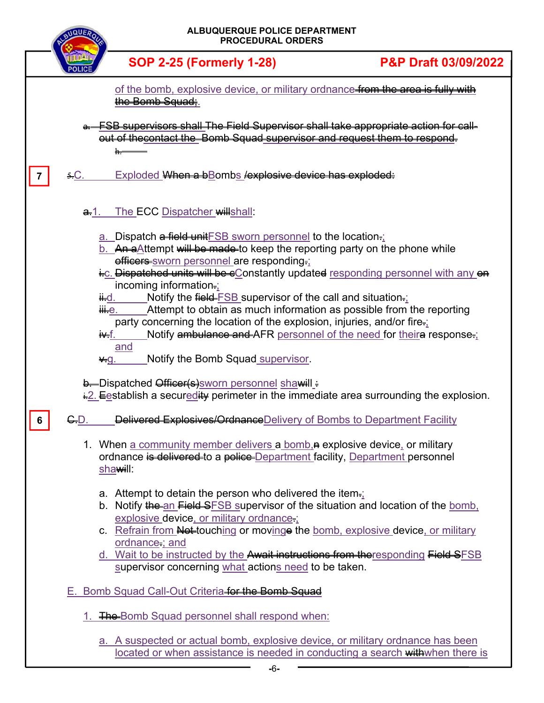|   | <b>TIQUE</b>     | ALBUQUERQUE POLICE DEPARTMENT<br><b>PROCEDURAL ORDERS</b>                                                                                                                                                                                                                                                                                                                                                                                                                                                                                                                                                                                                                                                                                                                                                                                                                                                                                                                                                    |                                 |  |
|---|------------------|--------------------------------------------------------------------------------------------------------------------------------------------------------------------------------------------------------------------------------------------------------------------------------------------------------------------------------------------------------------------------------------------------------------------------------------------------------------------------------------------------------------------------------------------------------------------------------------------------------------------------------------------------------------------------------------------------------------------------------------------------------------------------------------------------------------------------------------------------------------------------------------------------------------------------------------------------------------------------------------------------------------|---------------------------------|--|
|   |                  | <b>SOP 2-25 (Formerly 1-28)</b>                                                                                                                                                                                                                                                                                                                                                                                                                                                                                                                                                                                                                                                                                                                                                                                                                                                                                                                                                                              | <b>P&amp;P Draft 03/09/2022</b> |  |
|   |                  | of the bomb, explosive device, or military ordnance from the area is fully with<br>the Bomb Squad:                                                                                                                                                                                                                                                                                                                                                                                                                                                                                                                                                                                                                                                                                                                                                                                                                                                                                                           |                                 |  |
|   |                  | <b>FSB supervisors shall The Field Supervisor shall take appropriate action for call-</b><br>out of thecontact the Bomb Squad supervisor and request them to respond.<br>h.                                                                                                                                                                                                                                                                                                                                                                                                                                                                                                                                                                                                                                                                                                                                                                                                                                  |                                 |  |
|   | $5C$ .           | Exploded When a bBombs lexplosive device has exploded:                                                                                                                                                                                                                                                                                                                                                                                                                                                                                                                                                                                                                                                                                                                                                                                                                                                                                                                                                       |                                 |  |
|   | <del>a.</del> 1. | The ECC Dispatcher willshall:                                                                                                                                                                                                                                                                                                                                                                                                                                                                                                                                                                                                                                                                                                                                                                                                                                                                                                                                                                                |                                 |  |
| 6 | G.D.             | a. Dispatch a field unit FSB sworn personnel to the location.<br>b. An aAttempt will be made to keep the reporting party on the phone while<br>efficers-sworn personnel are responding-;<br>i-c. Dispatched units will be cConstantly updated responding personnel with any on<br>incoming information-;<br>Notify the $\frac{f_{\text{field}}}{f_{\text{S}}}\frac{f_{\text{S}}}{g_{\text{S}}}$ supervisor of the call and situation.<br><del>ii.</del> d.<br>iii⊹e.<br>Attempt to obtain as much information as possible from the reporting<br>party concerning the location of the explosion, injuries, and/or fire=;<br>Notify ambulance and AFR personnel of the need for theira response.<br>i¥f.<br>and<br>Notify the Bomb Squad supervisor.<br>$\vee$ g.<br><b>b.</b> Dispatched Officer(s) sworn personnel shawill =<br>$\frac{1}{2}$ . Eestablish a securedity perimeter in the immediate area surrounding the explosion.<br>Delivered Explosives/Ordnance Delivery of Bombs to Department Facility |                                 |  |
|   |                  | 1. When a community member delivers a bomb, a explosive device, or military<br>ordnance is delivered to a police Department facility, Department personnel<br>shawill:                                                                                                                                                                                                                                                                                                                                                                                                                                                                                                                                                                                                                                                                                                                                                                                                                                       |                                 |  |
|   |                  | a. Attempt to detain the person who delivered the item.<br>b. Notify the an Field SFSB supervisor of the situation and location of the bomb,<br>explosive device, or military ordnance-;<br>c. Refrain from Not-touching or movinge the bomb, explosive device, or military<br>ordnance; and<br>d. Wait to be instructed by the Await instructions from the responding Field SFSB<br>supervisor concerning what actions need to be taken.                                                                                                                                                                                                                                                                                                                                                                                                                                                                                                                                                                    |                                 |  |
|   |                  | E. Bomb Squad Call-Out Criteria for the Bomb Squad                                                                                                                                                                                                                                                                                                                                                                                                                                                                                                                                                                                                                                                                                                                                                                                                                                                                                                                                                           |                                 |  |
|   |                  | 1. The Bomb Squad personnel shall respond when:                                                                                                                                                                                                                                                                                                                                                                                                                                                                                                                                                                                                                                                                                                                                                                                                                                                                                                                                                              |                                 |  |
|   |                  | a. A suspected or actual bomb, explosive device, or military ordnance has been<br>located or when assistance is needed in conducting a search withwhen there is                                                                                                                                                                                                                                                                                                                                                                                                                                                                                                                                                                                                                                                                                                                                                                                                                                              |                                 |  |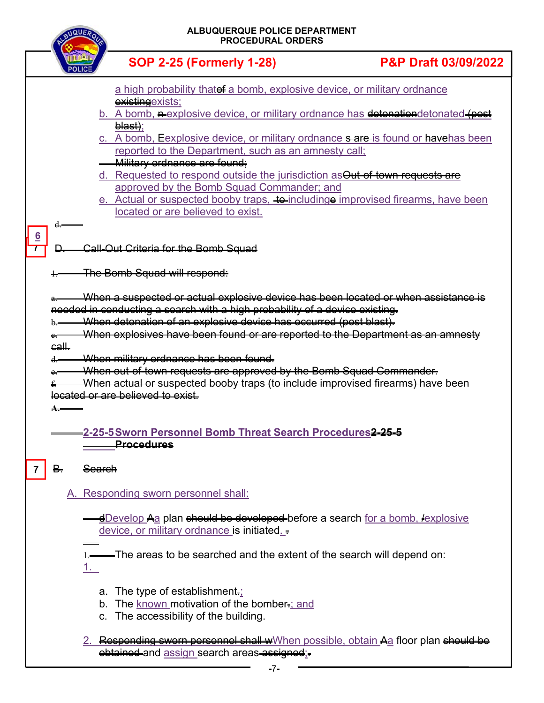| <b>ALBUQUERQUE POLICE DEPARTMENT</b><br><b>PROCEDURAL ORDERS</b> |                                                                                                                                                                                                                                                                                                                                                                                                                                                                                                                                                                                                                                                                                                                                                                                                                                                                                                                                                                                                                                                                                                                                                                                                                                                                                                                      |                                                                                      |                                                                                                                      |                                                                                     |
|------------------------------------------------------------------|----------------------------------------------------------------------------------------------------------------------------------------------------------------------------------------------------------------------------------------------------------------------------------------------------------------------------------------------------------------------------------------------------------------------------------------------------------------------------------------------------------------------------------------------------------------------------------------------------------------------------------------------------------------------------------------------------------------------------------------------------------------------------------------------------------------------------------------------------------------------------------------------------------------------------------------------------------------------------------------------------------------------------------------------------------------------------------------------------------------------------------------------------------------------------------------------------------------------------------------------------------------------------------------------------------------------|--------------------------------------------------------------------------------------|----------------------------------------------------------------------------------------------------------------------|-------------------------------------------------------------------------------------|
|                                                                  |                                                                                                                                                                                                                                                                                                                                                                                                                                                                                                                                                                                                                                                                                                                                                                                                                                                                                                                                                                                                                                                                                                                                                                                                                                                                                                                      |                                                                                      | <b>SOP 2-25 (Formerly 1-28)</b>                                                                                      | <b>P&amp;P Draft 03/09/2022</b>                                                     |
| $6 \overline{6}$                                                 | a high probability thatef a bomb, explosive device, or military ordnance<br>existing exists;<br>b. A bomb, nexplosive device, or military ordnance has detenationdetonated (post<br><del>blast)</del> ;<br>c. A bomb, Eexplosive device, or military ordnance sare is found or havehas been<br>reported to the Department, such as an amnesty call;<br><b>Military ordnance are found:</b><br>d. Requested to respond outside the jurisdiction as Out-of-town requests are<br>approved by the Bomb Squad Commander; and<br>e. Actual or suspected booby traps, to includinge improvised firearms, have been<br>located or are believed to exist.<br>d.<br><b>Call-Out Criteria for the Bomb Squad</b><br>The Bomb Squad will respond:<br>When a suspected or actual explosive device has been located or when assistance is<br>needed in conducting a search with a high probability of a device existing.<br>When detonation of an explosive device has occurred (post blast).<br>When explosives have been found or are reported to the Department as an amnesty<br>$ear$<br>When military ordnance has been found.<br>When out-of-town requests are approved by the Bomb Squad Commander.<br>When actual or suspected booby traps (to include improvised firearms) have been<br>located or are believed to exist. |                                                                                      |                                                                                                                      |                                                                                     |
|                                                                  | ₿.                                                                                                                                                                                                                                                                                                                                                                                                                                                                                                                                                                                                                                                                                                                                                                                                                                                                                                                                                                                                                                                                                                                                                                                                                                                                                                                   | <b>Procedures</b><br><del>Search</del>                                               |                                                                                                                      |                                                                                     |
|                                                                  |                                                                                                                                                                                                                                                                                                                                                                                                                                                                                                                                                                                                                                                                                                                                                                                                                                                                                                                                                                                                                                                                                                                                                                                                                                                                                                                      | A. Responding sworn personnel shall:                                                 |                                                                                                                      |                                                                                     |
|                                                                  |                                                                                                                                                                                                                                                                                                                                                                                                                                                                                                                                                                                                                                                                                                                                                                                                                                                                                                                                                                                                                                                                                                                                                                                                                                                                                                                      |                                                                                      | device, or military ordnance is initiated<br>= The areas to be searched and the extent of the search will depend on: | <u>-dDevelop Aa</u> plan should be developed-before a search for a bomb, lexplosive |
|                                                                  |                                                                                                                                                                                                                                                                                                                                                                                                                                                                                                                                                                                                                                                                                                                                                                                                                                                                                                                                                                                                                                                                                                                                                                                                                                                                                                                      | a. The type of establishment= $\frac{1}{2}$<br>c. The accessibility of the building. | b. The known motivation of the bomber-; and                                                                          | 2. Responding sworn personnel shall wWhen possible, obtain Aa floor plan should be  |
|                                                                  | obtained and assign search areas assigned:                                                                                                                                                                                                                                                                                                                                                                                                                                                                                                                                                                                                                                                                                                                                                                                                                                                                                                                                                                                                                                                                                                                                                                                                                                                                           |                                                                                      |                                                                                                                      |                                                                                     |